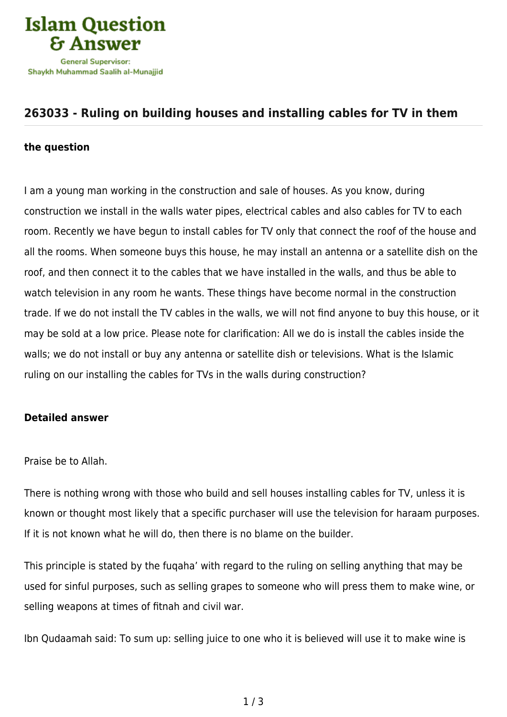

## **[263033 - Ruling on building houses and installing cables for TV in them](https://islamqa.com/en/answers/263033/ruling-on-building-houses-and-installing-cables-for-tv-in-them)**

## **the question**

I am a young man working in the construction and sale of houses. As you know, during construction we install in the walls water pipes, electrical cables and also cables for TV to each room. Recently we have begun to install cables for TV only that connect the roof of the house and all the rooms. When someone buys this house, he may install an antenna or a satellite dish on the roof, and then connect it to the cables that we have installed in the walls, and thus be able to watch television in any room he wants. These things have become normal in the construction trade. If we do not install the TV cables in the walls, we will not find anyone to buy this house, or it may be sold at a low price. Please note for clarification: All we do is install the cables inside the walls; we do not install or buy any antenna or satellite dish or televisions. What is the Islamic ruling on our installing the cables for TVs in the walls during construction?

## **Detailed answer**

Praise be to Allah.

There is nothing wrong with those who build and sell houses installing cables for TV, unless it is known or thought most likely that a specific purchaser will use the television for haraam purposes. If it is not known what he will do, then there is no blame on the builder.

This principle is stated by the fuqaha' with regard to the ruling on selling anything that may be used for sinful purposes, such as selling grapes to someone who will press them to make wine, or selling weapons at times of fitnah and civil war.

Ibn Qudaamah said: To sum up: selling juice to one who it is believed will use it to make wine is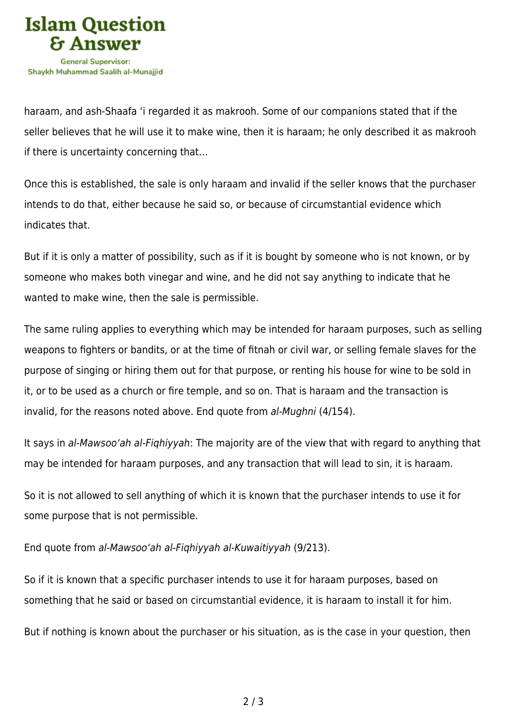

haraam, and ash-Shaafa 'i regarded it as makrooh. Some of our companions stated that if the seller believes that he will use it to make wine, then it is haraam; he only described it as makrooh if there is uncertainty concerning that…

Once this is established, the sale is only haraam and invalid if the seller knows that the purchaser intends to do that, either because he said so, or because of circumstantial evidence which indicates that.

But if it is only a matter of possibility, such as if it is bought by someone who is not known, or by someone who makes both vinegar and wine, and he did not say anything to indicate that he wanted to make wine, then the sale is permissible.

The same ruling applies to everything which may be intended for haraam purposes, such as selling weapons to fighters or bandits, or at the time of fitnah or civil war, or selling female slaves for the purpose of singing or hiring them out for that purpose, or renting his house for wine to be sold in it, or to be used as a church or fire temple, and so on. That is haraam and the transaction is invalid, for the reasons noted above. End quote from al-Mughni (4/154).

It says in al-Mawsoo'ah al-Fiqhiyyah: The majority are of the view that with regard to anything that may be intended for haraam purposes, and any transaction that will lead to sin, it is haraam.

So it is not allowed to sell anything of which it is known that the purchaser intends to use it for some purpose that is not permissible.

End quote from al-Mawsoo'ah al-Fiqhiyyah al-Kuwaitiyyah (9/213).

So if it is known that a specific purchaser intends to use it for haraam purposes, based on something that he said or based on circumstantial evidence, it is haraam to install it for him.

But if nothing is known about the purchaser or his situation, as is the case in your question, then